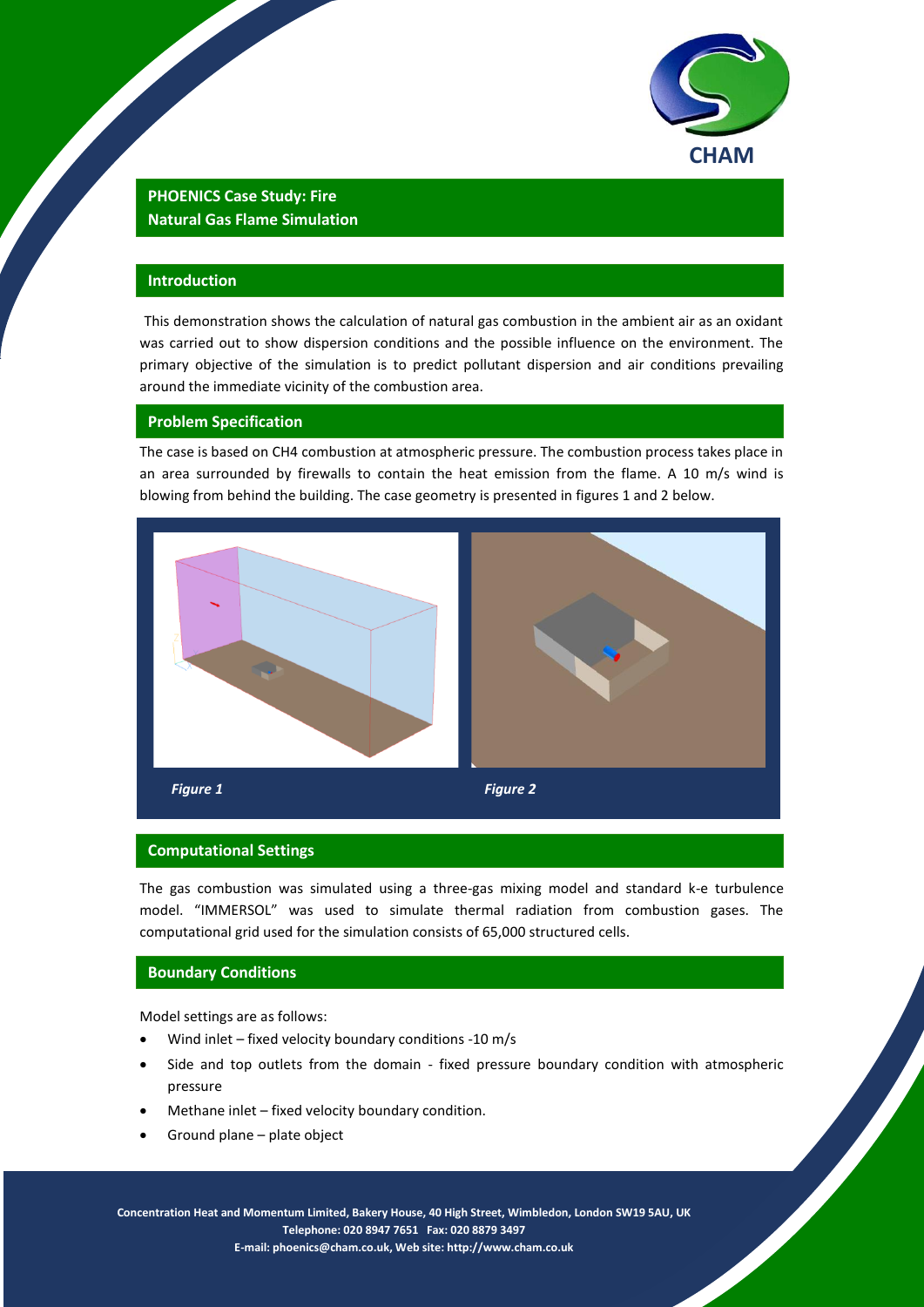

# **PHOENICS Case Study: Fire Natural Gas Flame Simulation**

# **Introduction**

This demonstration shows the calculation of natural gas combustion in the ambient air as an oxidant was carried out to show dispersion conditions and the possible influence on the environment. The primary objective of the simulation is to predict pollutant dispersion and air conditions prevailing around the immediate vicinity of the combustion area.

# **Problem Specification**

The case is based on CH4 combustion at atmospheric pressure. The combustion process takes place in an area surrounded by firewalls to contain the heat emission from the flame. A 10 m/s wind is blowing from behind the building. The case geometry is presented in figures 1 and 2 below.



#### **Computational Settings**

The gas combustion was simulated using a three-gas mixing model and standard k-e turbulence model. "IMMERSOL" was used to simulate thermal radiation from combustion gases. The computational grid used for the simulation consists of 65,000 structured cells.

#### **Boundary Conditions**

Model settings are as follows:

- Wind inlet fixed velocity boundary conditions -10 m/s
- Side and top outlets from the domain fixed pressure boundary condition with atmospheric pressure
- Methane inlet fixed velocity boundary condition.
- Ground plane plate object

1 **Telephone: 020 8947 7651 Fax: 020 8879 3497 Concentration Heat and Momentum Limited, Bakery House, 40 High Street, Wimbledon, London SW19 5AU, UK E-mail[: phoenics@cham.co.uk,](mailto:phoenics@cham.co.uk) Web site[: http://www.cham.co.uk](http://www.cham.co.uk/)**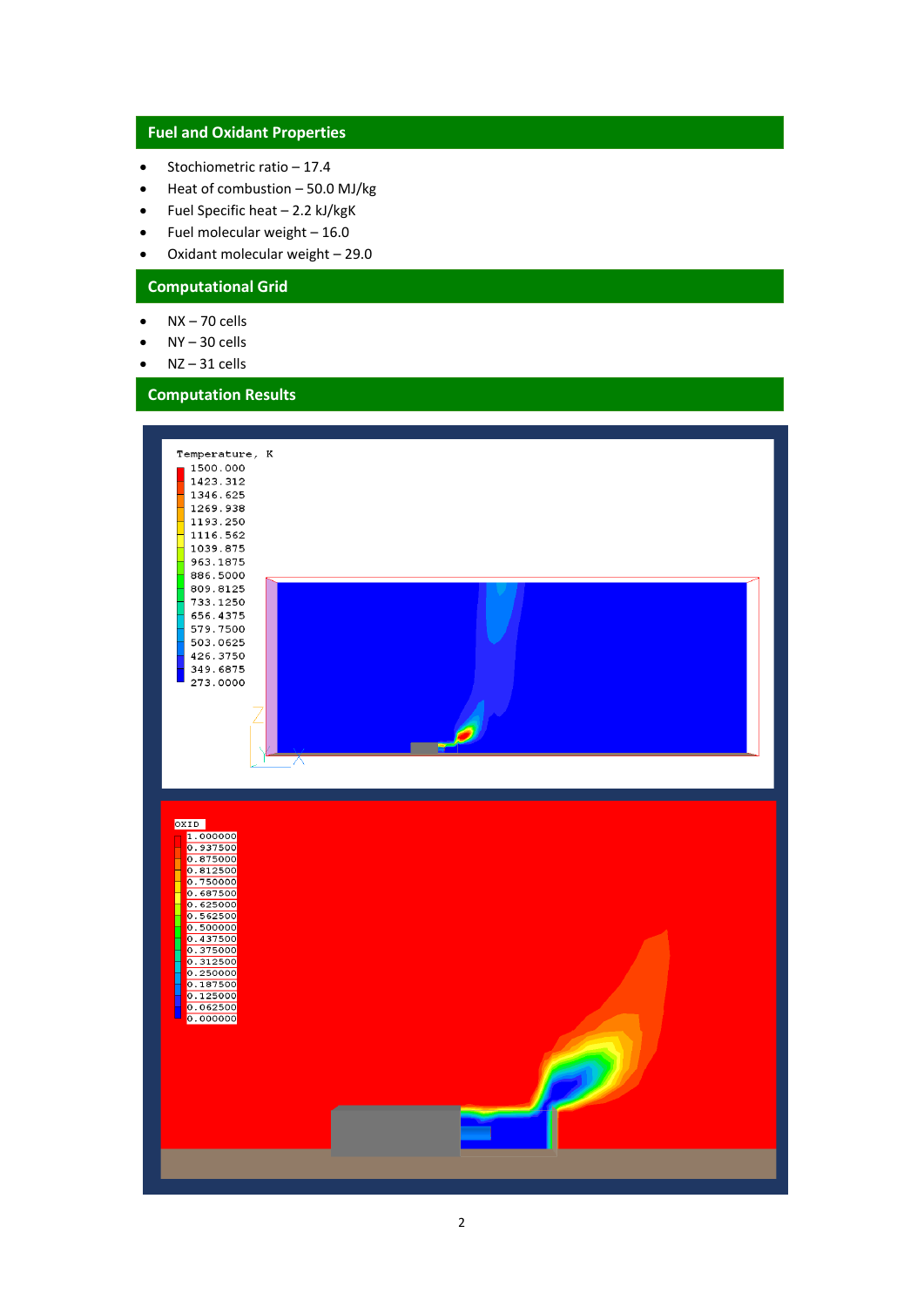# **Fuel and Oxidant Properties**

- $\bullet$  Stochiometric ratio 17.4
- $\bullet$  Heat of combustion 50.0 MJ/kg
- $\bullet$  Fuel Specific heat 2.2 kJ/kgK
- $\bullet$  Fuel molecular weight  $-16.0$
- Oxidant molecular weight 29.0

# **Computational Grid**

- $\bullet$  NX 70 cells
- NY 30 cells
- NZ 31 cells

# **Computation Results**